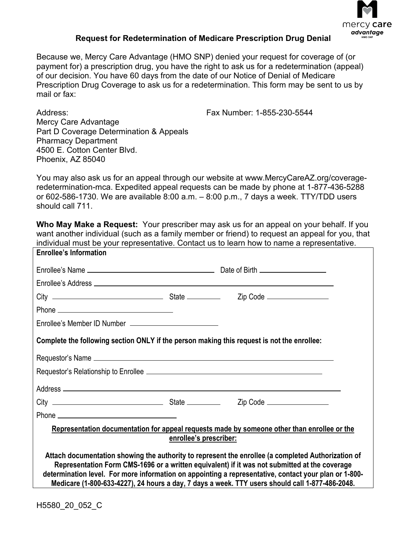

## **Request for Redetermination of Medicare Prescription Drug Denial**

Because we, Mercy Care Advantage (HMO SNP) denied your request for coverage of (or payment for) a prescription drug, you have the right to ask us for a redetermination (appeal) of our decision. You have 60 days from the date of our Notice of Denial of Medicare Prescription Drug Coverage to ask us for a redetermination. This form may be sent to us by mail or fax:

Address:

Fax Number: 1-855-230-5544

Mercy Care Advantage Part D Coverage Determination & Appeals Pharmacy Department 4500 E. Cotton Center Blvd. Phoenix, AZ 85040

You may also ask us for an appeal through our website at [www.MercyCareAZ.org/coverage](http://www.MercyCareAZ.org/coverage-redetermination-mca)[redetermination-mca.](http://www.MercyCareAZ.org/coverage-redetermination-mca) Expedited appeal requests can be made by phone at 1-877-436-5288 or 602-586-1730. We are available 8:00 a.m. – 8:00 p.m., 7 days a week. TTY/TDD users should call 711.

**Who May Make a Request:** Your prescriber may ask us for an appeal on your behalf. If you want another individual (such as a family member or friend) to request an appeal for you, that individual must be your representative. Contact us to learn how to name a representative.

| <b>Enrollee's Information</b>                                                                                                                                                                                                                                                                                                                                                                                   |  |  |  |  |
|-----------------------------------------------------------------------------------------------------------------------------------------------------------------------------------------------------------------------------------------------------------------------------------------------------------------------------------------------------------------------------------------------------------------|--|--|--|--|
|                                                                                                                                                                                                                                                                                                                                                                                                                 |  |  |  |  |
|                                                                                                                                                                                                                                                                                                                                                                                                                 |  |  |  |  |
|                                                                                                                                                                                                                                                                                                                                                                                                                 |  |  |  |  |
|                                                                                                                                                                                                                                                                                                                                                                                                                 |  |  |  |  |
|                                                                                                                                                                                                                                                                                                                                                                                                                 |  |  |  |  |
| Complete the following section ONLY if the person making this request is not the enrollee:                                                                                                                                                                                                                                                                                                                      |  |  |  |  |
|                                                                                                                                                                                                                                                                                                                                                                                                                 |  |  |  |  |
|                                                                                                                                                                                                                                                                                                                                                                                                                 |  |  |  |  |
|                                                                                                                                                                                                                                                                                                                                                                                                                 |  |  |  |  |
|                                                                                                                                                                                                                                                                                                                                                                                                                 |  |  |  |  |
|                                                                                                                                                                                                                                                                                                                                                                                                                 |  |  |  |  |
| Representation documentation for appeal requests made by someone other than enrollee or the<br>enrollee's prescriber:                                                                                                                                                                                                                                                                                           |  |  |  |  |
| Attach documentation showing the authority to represent the enrollee (a completed Authorization of<br>Representation Form CMS-1696 or a written equivalent) if it was not submitted at the coverage<br>determination level. For more information on appointing a representative, contact your plan or 1-800-<br>Medicare (1-800-633-4227), 24 hours a day, 7 days a week. TTY users should call 1-877-486-2048. |  |  |  |  |